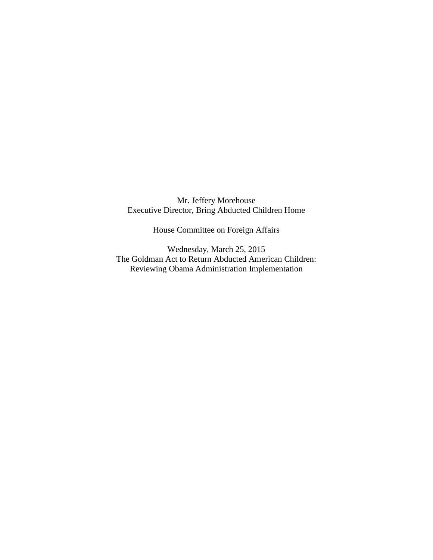Mr. Jeffery Morehouse Executive Director, Bring Abducted Children Home

House Committee on Foreign Affairs

Wednesday, March 25, 2015 The Goldman Act to Return Abducted American Children: Reviewing Obama Administration Implementation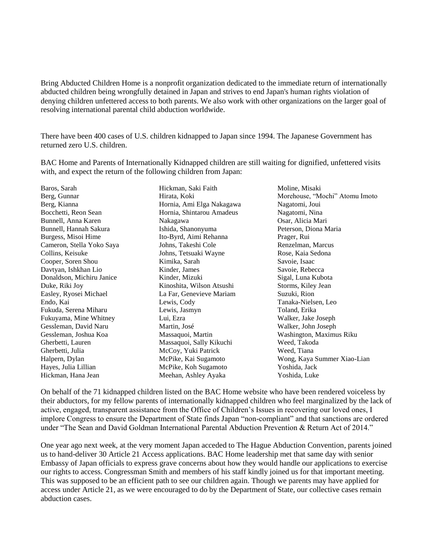Bring Abducted Children Home is a nonprofit organization dedicated to the immediate return of internationally abducted children being wrongfully detained in Japan and strives to end Japan's human rights violation of denying children unfettered access to both parents. We also work with other organizations on the larger goal of resolving international parental child abduction worldwide.

There have been 400 cases of U.S. children kidnapped to Japan since 1994. The Japanese Government has returned zero U.S. children.

BAC Home and Parents of Internationally Kidnapped children are still waiting for dignified, unfettered visits with, and expect the return of the following children from Japan:

Baros, Sarah Berg, Gunnar Berg, Kianna Bocchetti, Reon Sean Bunnell, Anna Karen Bunnell, Hannah Sakura Burgess, Misoi Hime Cameron, Stella Yoko Saya Collins, Keisuke Cooper, Soren Shou Davtyan, Ishkhan Lio Donaldson, Michiru Janice Duke, Riki Joy Easley, Ryosei Michael Endo, Kai Fukuda, Serena Miharu Fukuyama, Mine Whitney Gessleman, David Naru Gessleman, Joshua Koa Gherbetti, Lauren Gherbetti, Julia Halpern, Dylan Hayes, Julia Lillian Hickman, Hana Jean Hickman, Saki Faith Hirata, Koki Hornia, Ami Elga Nakagawa Hornia, Shintarou Amadeus Nakagawa Ishida, Shanonyuma Ito-Byrd, Aimi Rehanna Johns, Takeshi Cole Johns, Tetsuaki Wayne Kimika, Sarah Kinder, James Kinder, Mizuki Kinoshita, Wilson Atsushi La Far, Genevieve Mariam Lewis, Cody Lewis, Jasmyn Lui, Ezra Martin, José Massaquoi, Martin Massaquoi, Sally Kikuchi McCoy, Yuki Patrick McPike, Kai Sugamoto McPike, Koh Sugamoto Meehan, Ashley Ayaka Moline, Misaki Morehouse, "Mochi" Atomu Imoto Nagatomi, Joui Nagatomi, Nina Osar, Alicia Mari Peterson, Diona Maria Prager, Rui Renzelman, Marcus Rose, Kaia Sedona Savoie, Isaac Savoie, Rebecca Sigal, Luna Kubota Storms, Kiley Jean Suzuki, Rion Tanaka-Nielsen, Leo Toland, Erika Walker, Jake Joseph Walker, John Joseph Washington, Maximus Riku Weed, Takoda Weed, Tiana Wong, Kaya Summer Xiao-Lian Yoshida, Jack Yoshida, Luke

On behalf of the 71 kidnapped children listed on the BAC Home website who have been rendered voiceless by their abductors, for my fellow parents of internationally kidnapped children who feel marginalized by the lack of active, engaged, transparent assistance from the Office of Children's Issues in recovering our loved ones, I implore Congress to ensure the Department of State finds Japan "non-compliant" and that sanctions are ordered under "The Sean and David Goldman International Parental Abduction Prevention & Return Act of 2014."

One year ago next week, at the very moment Japan acceded to The Hague Abduction Convention, parents joined us to hand-deliver 30 Article 21 Access applications. BAC Home leadership met that same day with senior Embassy of Japan officials to express grave concerns about how they would handle our applications to exercise our rights to access. Congressman Smith and members of his staff kindly joined us for that important meeting. This was supposed to be an efficient path to see our children again. Though we parents may have applied for access under Article 21, as we were encouraged to do by the Department of State, our collective cases remain abduction cases.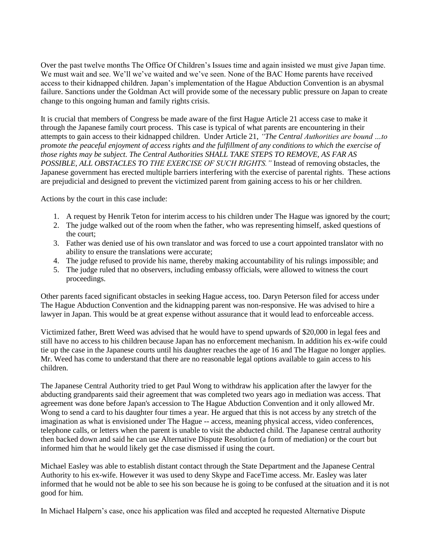Over the past twelve months The Office Of Children's Issues time and again insisted we must give Japan time. We must wait and see. We'll we've waited and we've seen. None of the BAC Home parents have received access to their kidnapped children. Japan's implementation of the Hague Abduction Convention is an abysmal failure. Sanctions under the Goldman Act will provide some of the necessary public pressure on Japan to create change to this ongoing human and family rights crisis.

It is crucial that members of Congress be made aware of the first Hague Article 21 access case to make it through the Japanese family court process. This case is typical of what parents are encountering in their attempts to gain access to their kidnapped children. Under Article 21, *"The Central Authorities are bound …to promote the peaceful enjoyment of access rights and the fulfillment of any conditions to which the exercise of those rights may be subject. The Central Authorities SHALL TAKE STEPS TO REMOVE, AS FAR AS POSSIBLE, ALL OBSTACLES TO THE EXERCISE OF SUCH RIGHTS."* Instead of removing obstacles, the Japanese government has erected multiple barriers interfering with the exercise of parental rights. These actions are prejudicial and designed to prevent the victimized parent from gaining access to his or her children.

Actions by the court in this case include:

- 1. A request by Henrik Teton for interim access to his children under The Hague was ignored by the court;
- 2. The judge walked out of the room when the father, who was representing himself, asked questions of the court;
- 3. Father was denied use of his own translator and was forced to use a court appointed translator with no ability to ensure the translations were accurate;
- 4. The judge refused to provide his name, thereby making accountability of his rulings impossible; and
- 5. The judge ruled that no observers, including embassy officials, were allowed to witness the court proceedings.

Other parents faced significant obstacles in seeking Hague access, too. Daryn Peterson filed for access under The Hague Abduction Convention and the kidnapping parent was non-responsive. He was advised to hire a lawyer in Japan. This would be at great expense without assurance that it would lead to enforceable access.

Victimized father, Brett Weed was advised that he would have to spend upwards of \$20,000 in legal fees and still have no access to his children because Japan has no enforcement mechanism. In addition his ex-wife could tie up the case in the Japanese courts until his daughter reaches the age of 16 and The Hague no longer applies. Mr. Weed has come to understand that there are no reasonable legal options available to gain access to his children.

The Japanese Central Authority tried to get Paul Wong to withdraw his application after the lawyer for the abducting grandparents said their agreement that was completed two years ago in mediation was access. That agreement was done before Japan's accession to The Hague Abduction Convention and it only allowed Mr. Wong to send a card to his daughter four times a year. He argued that this is not access by any stretch of the imagination as what is envisioned under The Hague -- access, meaning physical access, video conferences, telephone calls, or letters when the parent is unable to visit the abducted child. The Japanese central authority then backed down and said he can use Alternative Dispute Resolution (a form of mediation) or the court but informed him that he would likely get the case dismissed if using the court.

Michael Easley was able to establish distant contact through the State Department and the Japanese Central Authority to his ex-wife. However it was used to deny Skype and FaceTime access. Mr. Easley was later informed that he would not be able to see his son because he is going to be confused at the situation and it is not good for him.

In Michael Halpern's case, once his application was filed and accepted he requested Alternative Dispute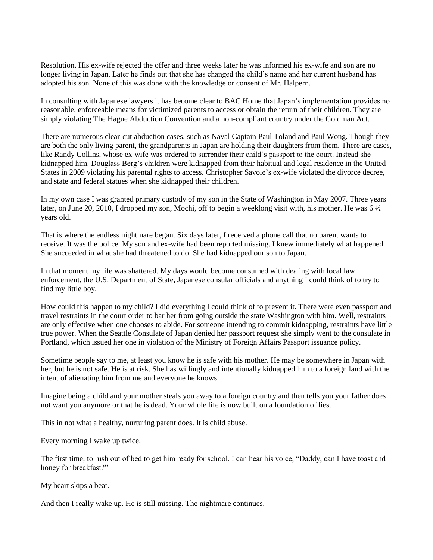Resolution. His ex-wife rejected the offer and three weeks later he was informed his ex-wife and son are no longer living in Japan. Later he finds out that she has changed the child's name and her current husband has adopted his son. None of this was done with the knowledge or consent of Mr. Halpern.

In consulting with Japanese lawyers it has become clear to BAC Home that Japan's implementation provides no reasonable, enforceable means for victimized parents to access or obtain the return of their children. They are simply violating The Hague Abduction Convention and a non-compliant country under the Goldman Act.

There are numerous clear-cut abduction cases, such as Naval Captain Paul Toland and Paul Wong. Though they are both the only living parent, the grandparents in Japan are holding their daughters from them. There are cases, like Randy Collins, whose ex-wife was ordered to surrender their child's passport to the court. Instead she kidnapped him. Douglass Berg's children were kidnapped from their habitual and legal residence in the United States in 2009 violating his parental rights to access. Christopher Savoie's ex-wife violated the divorce decree, and state and federal statues when she kidnapped their children.

In my own case I was granted primary custody of my son in the State of Washington in May 2007. Three years later, on June 20, 2010, I dropped my son, Mochi, off to begin a weeklong visit with, his mother. He was 6 ½ years old.

That is where the endless nightmare began. Six days later, I received a phone call that no parent wants to receive. It was the police. My son and ex-wife had been reported missing. I knew immediately what happened. She succeeded in what she had threatened to do. She had kidnapped our son to Japan.

In that moment my life was shattered. My days would become consumed with dealing with local law enforcement, the U.S. Department of State, Japanese consular officials and anything I could think of to try to find my little boy.

How could this happen to my child? I did everything I could think of to prevent it. There were even passport and travel restraints in the court order to bar her from going outside the state Washington with him. Well, restraints are only effective when one chooses to abide. For someone intending to commit kidnapping, restraints have little true power. When the Seattle Consulate of Japan denied her passport request she simply went to the consulate in Portland, which issued her one in violation of the Ministry of Foreign Affairs Passport issuance policy.

Sometime people say to me, at least you know he is safe with his mother. He may be somewhere in Japan with her, but he is not safe. He is at risk. She has willingly and intentionally kidnapped him to a foreign land with the intent of alienating him from me and everyone he knows.

Imagine being a child and your mother steals you away to a foreign country and then tells you your father does not want you anymore or that he is dead. Your whole life is now built on a foundation of lies.

This in not what a healthy, nurturing parent does. It is child abuse.

Every morning I wake up twice.

The first time, to rush out of bed to get him ready for school. I can hear his voice, "Daddy, can I have toast and honey for breakfast?"

My heart skips a beat.

And then I really wake up. He is still missing. The nightmare continues.